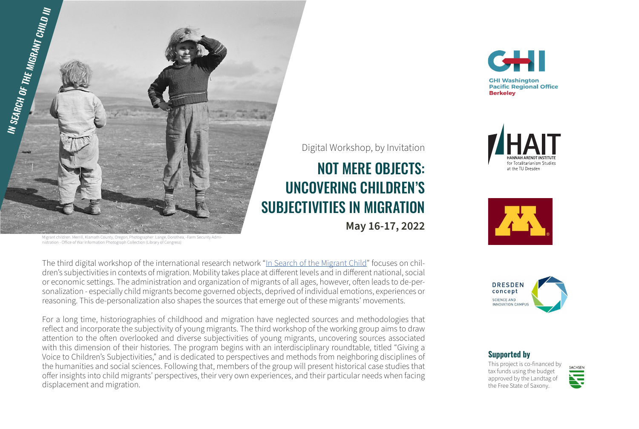

ildren. Merrill, Klamath County, Oregon, Photographer: Lange, Dorothea, -Farm Security Admi nistration - Office of War Information Photograph Collection (Library of Congress)

The third digital workshop of the international research network "In Search of the Migrant Child" focuses on children's subjectivities in contexts of migration. Mobility takes place at different levels and in different national, social or economic settings. The administration and organization of migrants of all ages, however, often leads to de-personalization - especially child migrants become governed objects, deprived of individual emotions, experiences or reasoning. This de-personalization also shapes the sources that emerge out of these migrants' movements.

For a long time, historiographies of childhood and migration have neglected sources and methodologies that reflect and incorporate the subjectivity of young migrants. The third workshop of the working group aims to draw attention to the often overlooked and diverse subjectivities of young migrants, uncovering sources associated with this dimension of their histories. The program begins with an interdisciplinary roundtable, titled "Giving a Voice to Children's Subjectivities," and is dedicated to perspectives and methods from neighboring disciplines of the humanities and social sciences. Following that, members of the group will present historical case studies that offer insights into child migrants' perspectives, their very own experiences, and their particular needs when facing displacement and migration.





NOT MERE OBJECTS:

Digital Workshop, by Invitation

**May 16-17, 2022**

UNCOVERING CHILDREN'S





### **Supported by**

This project is co-financed by tax funds using the budget approved by the Landtag of the Free State of Saxony.